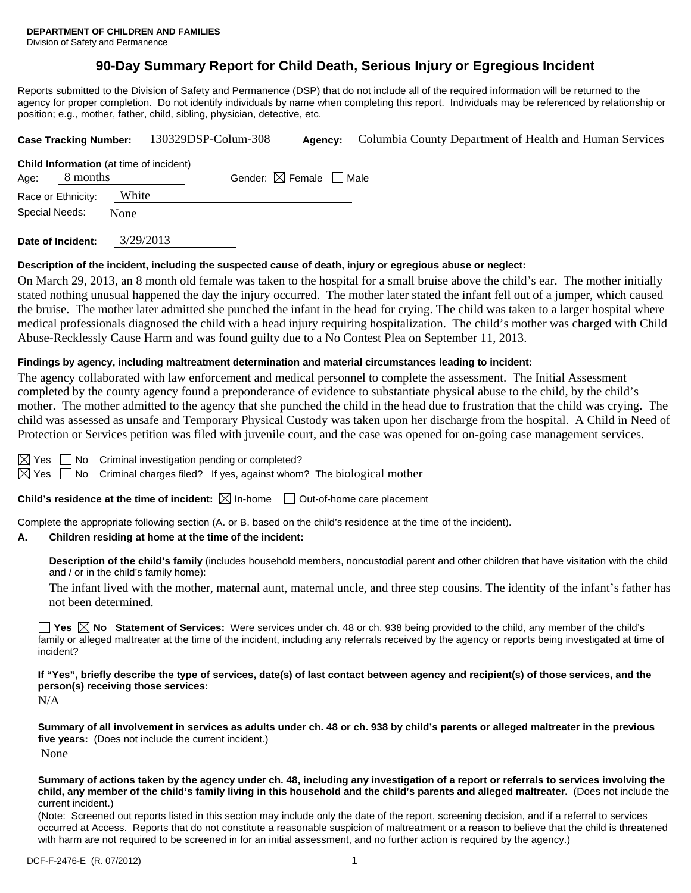Division of Safety and Permanence

# **90-Day Summary Report for Child Death, Serious Injury or Egregious Incident**

Reports submitted to the Division of Safety and Permanence (DSP) that do not include all of the required information will be returned to the agency for proper completion. Do not identify individuals by name when completing this report. Individuals may be referenced by relationship or position; e.g., mother, father, child, sibling, physician, detective, etc.

| <b>Case Tracking Number:</b>                                       |       | 130329DSP-Colum-308 | Agency:                                | Columbia County Department of Health and Human Services |
|--------------------------------------------------------------------|-------|---------------------|----------------------------------------|---------------------------------------------------------|
| <b>Child Information</b> (at time of incident)<br>8 months<br>Age: |       |                     | Gender: $\boxtimes$ Female $\Box$ Male |                                                         |
| Race or Ethnicity:                                                 | White |                     |                                        |                                                         |
| Special Needs:                                                     | None  |                     |                                        |                                                         |
|                                                                    |       | 200000000           |                                        |                                                         |

**Date of Incident:** 3/29/2013

### **Description of the incident, including the suspected cause of death, injury or egregious abuse or neglect:**

On March 29, 2013, an 8 month old female was taken to the hospital for a small bruise above the child's ear. The mother initially stated nothing unusual happened the day the injury occurred. The mother later stated the infant fell out of a jumper, which caused the bruise. The mother later admitted she punched the infant in the head for crying. The child was taken to a larger hospital where medical professionals diagnosed the child with a head injury requiring hospitalization. The child's mother was charged with Child Abuse-Recklessly Cause Harm and was found guilty due to a No Contest Plea on September 11, 2013.

### **Findings by agency, including maltreatment determination and material circumstances leading to incident:**

The agency collaborated with law enforcement and medical personnel to complete the assessment. The Initial Assessment completed by the county agency found a preponderance of evidence to substantiate physical abuse to the child, by the child's mother. The mother admitted to the agency that she punched the child in the head due to frustration that the child was crying. The child was assessed as unsafe and Temporary Physical Custody was taken upon her discharge from the hospital. A Child in Need of Protection or Services petition was filed with juvenile court, and the case was opened for on-going case management services.

 $\boxtimes$  Yes  $\Box$  No Criminal investigation pending or completed?

 $\boxtimes$  Yes  $\Box$  No Criminal charges filed? If yes, against whom? The biological mother

**Child's residence at the time of incident:**  $\boxtimes$  In-home  $\Box$  Out-of-home care placement

Complete the appropriate following section (A. or B. based on the child's residence at the time of the incident).

#### **A. Children residing at home at the time of the incident:**

**Description of the child's family** (includes household members, noncustodial parent and other children that have visitation with the child and / or in the child's family home):

 The infant lived with the mother, maternal aunt, maternal uncle, and three step cousins. The identity of the infant's father has not been determined.

**Yes**  $\boxtimes$  **No** Statement of Services: Were services under ch. 48 or ch. 938 being provided to the child, any member of the child's family or alleged maltreater at the time of the incident, including any referrals received by the agency or reports being investigated at time of incident?

**If "Yes", briefly describe the type of services, date(s) of last contact between agency and recipient(s) of those services, and the person(s) receiving those services:** 

N/A

**Summary of all involvement in services as adults under ch. 48 or ch. 938 by child's parents or alleged maltreater in the previous five years:** (Does not include the current incident.)

None

**Summary of actions taken by the agency under ch. 48, including any investigation of a report or referrals to services involving the child, any member of the child's family living in this household and the child's parents and alleged maltreater.** (Does not include the current incident.)

(Note: Screened out reports listed in this section may include only the date of the report, screening decision, and if a referral to services occurred at Access. Reports that do not constitute a reasonable suspicion of maltreatment or a reason to believe that the child is threatened with harm are not required to be screened in for an initial assessment, and no further action is required by the agency.)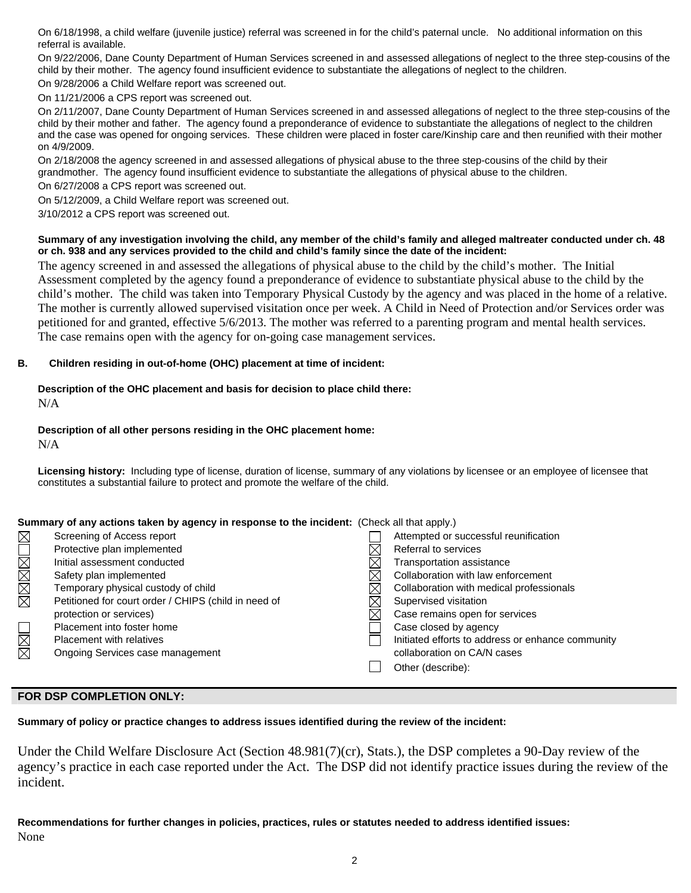On 6/18/1998, a child welfare (juvenile justice) referral was screened in for the child's paternal uncle. No additional information on this referral is available.

On 9/22/2006, Dane County Department of Human Services screened in and assessed allegations of neglect to the three step-cousins of the child by their mother. The agency found insufficient evidence to substantiate the allegations of neglect to the children. On 9/28/2006 a Child Welfare report was screened out.

On 11/21/2006 a CPS report was screened out.

On 2/11/2007, Dane County Department of Human Services screened in and assessed allegations of neglect to the three step-cousins of the child by their mother and father. The agency found a preponderance of evidence to substantiate the allegations of neglect to the children and the case was opened for ongoing services. These children were placed in foster care/Kinship care and then reunified with their mother on 4/9/2009.

On 2/18/2008 the agency screened in and assessed allegations of physical abuse to the three step-cousins of the child by their grandmother. The agency found insufficient evidence to substantiate the allegations of physical abuse to the children. On 6/27/2008 a CPS report was screened out.

On 5/12/2009, a Child Welfare report was screened out.

3/10/2012 a CPS report was screened out.

#### **Summary of any investigation involving the child, any member of the child's family and alleged maltreater conducted under ch. 48 or ch. 938 and any services provided to the child and child's family since the date of the incident:**

The agency screened in and assessed the allegations of physical abuse to the child by the child's mother. The Initial Assessment completed by the agency found a preponderance of evidence to substantiate physical abuse to the child by the child's mother. The child was taken into Temporary Physical Custody by the agency and was placed in the home of a relative. The mother is currently allowed supervised visitation once per week. A Child in Need of Protection and/or Services order was petitioned for and granted, effective 5/6/2013. The mother was referred to a parenting program and mental health services. The case remains open with the agency for on-going case management services.

### **B. Children residing in out-of-home (OHC) placement at time of incident:**

# **Description of the OHC placement and basis for decision to place child there:**

N/A

## **Description of all other persons residing in the OHC placement home:**

 $N/A$ 

**Licensing history:** Including type of license, duration of license, summary of any violations by licensee or an employee of licensee that constitutes a substantial failure to protect and promote the welfare of the child.

### **Summary of any actions taken by agency in response to the incident:** (Check all that apply.)

| $\boxtimes$                             | Screening of Access report                           | Attempted or successful reunification             |
|-----------------------------------------|------------------------------------------------------|---------------------------------------------------|
|                                         | Protective plan implemented                          | Referral to services                              |
| NNNNI                                   | Initial assessment conducted                         | Transportation assistance                         |
|                                         | Safety plan implemented                              | Collaboration with law enforcement                |
|                                         | Temporary physical custody of child                  | Collaboration with medical professionals          |
|                                         | Petitioned for court order / CHIPS (child in need of | Supervised visitation                             |
|                                         | protection or services)                              | Case remains open for services                    |
|                                         | Placement into foster home                           | Case closed by agency                             |
| $\mathop{\boxtimes\mskip-4mu\boxtimes}$ | Placement with relatives                             | Initiated efforts to address or enhance community |
|                                         | Ongoing Services case management                     | collaboration on CA/N cases                       |
|                                         |                                                      | Other (describe):                                 |
|                                         |                                                      |                                                   |

## **FOR DSP COMPLETION ONLY:**

### **Summary of policy or practice changes to address issues identified during the review of the incident:**

Under the Child Welfare Disclosure Act (Section 48.981(7)(cr), Stats.), the DSP completes a 90-Day review of the agency's practice in each case reported under the Act. The DSP did not identify practice issues during the review of the incident.

**Recommendations for further changes in policies, practices, rules or statutes needed to address identified issues:** None